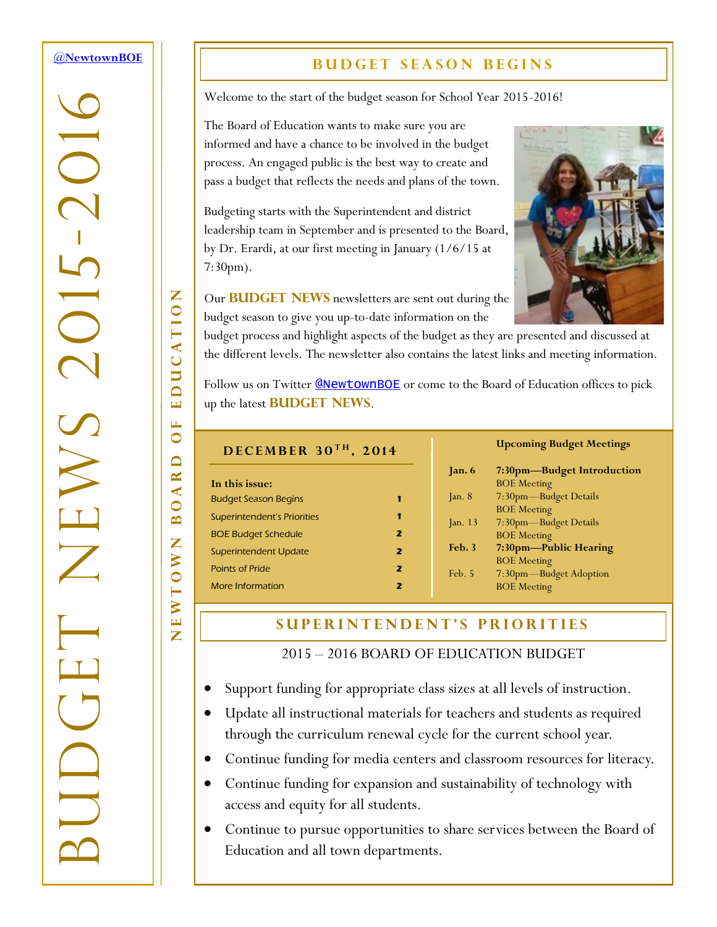#### <span id="page-0-0"></span>**[@NewtownBOE](http://tiny.cc/nboe1412n1t1)**

-2016

 $\overline{C}$ 

BUDGET NEWS 2015

#### **BUDGET SEASON BEGINS**

Welcome to the start of the budget season for School Year 2015-2016!

The Board of Education wants to make sure you are informed and have a chance to be involved in the budget process. An engaged public is the best way to create and pass a budget that reflects the needs and plans of the town.

Budgeting starts with the Superintendent and district leadership team in September and is presented to the Board, by Dr. Erardi, at our first meeting in January (1/6/15 at 7:30pm).



Our **BUDGET NEWS** newsletters are sent out during the budget season to give you up-to-date information on the

budget process and highlight aspects of the budget as they are presented and discussed at the different levels. The newsletter also contains the latest links and meeting information.

Follow us on Twitter **[@NewtownBOE](http://tiny.cc/nboe1412n1t3)** or come to the Board of Education offices to pick up the latest **BUDGET NEWS**.

| DECEMBER 30TH, 2014         |   |              |
|-----------------------------|---|--------------|
|                             |   | Б            |
| In this issue:              |   |              |
| <b>Budget Season Begins</b> |   | $\lceil$     |
| Superintendent's Priorities | 1 | $\mathbf{E}$ |
| <b>BOE Budget Schedule</b>  | 2 |              |
| Superintendent Update       | 2 | F            |
| <b>Points of Pride</b>      | 2 | F            |
| More Information            | 2 |              |

#### **Upcoming Budget Meetings**

| Jan.6                   | 7:30pm—Budget Introduction |
|-------------------------|----------------------------|
|                         | <b>BOE</b> Meeting         |
| $\mathop{\text{In.}} 8$ | 7:30pm-Budget Details      |
|                         | <b>BOE</b> Meeting         |
| $\lceil$ an. 13         | 7:30pm-Budget Details      |
|                         | <b>BOE</b> Meeting         |
| Feb.3                   | 7:30pm—Public Hearing      |
|                         | <b>BOE</b> Meeting         |
| Feb. 5                  | 7:30pm-Budget Adoption     |
|                         | <b>BOE</b> Meeting         |
|                         |                            |

#### **S U P E R I N T E N D E N T ' S P R I O R I T I E S**

2015 – 2016 BOARD OF EDUCATION BUDGET

- Support funding for appropriate class sizes at all levels of instruction.
- Update all instructional materials for teachers and students as required through the curriculum renewal cycle for the current school year.
- Continue funding for media centers and classroom resources for literacy.
- Continue funding for expansion and sustainability of technology with access and equity for all students.
- Continue to pursue opportunities to share services between the Board of Education and all town departments.

Z NEWTOWN BOARD OF EDUCATION **EDUCATIO** E  $\bullet$  $\Box$  $\mathbf{R}$  $\overline{\mathbf{A}}$  $\bullet$  $\mathbf{\underline{m}}$ Z O W EWT

Z